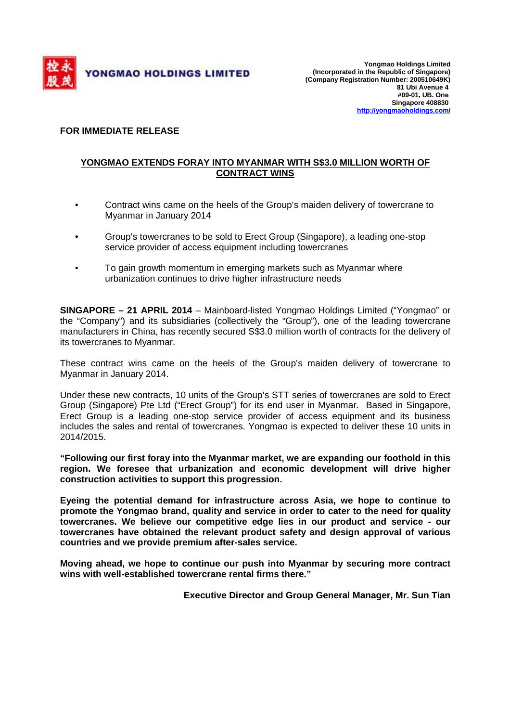

## **FOR IMMEDIATE RELEASE**

## **YONGMAO EXTENDS FORAY INTO MYANMAR WITH S\$3.0 MILLION WORTH OF CONTRACT WINS**

- Contract wins came on the heels of the Group's maiden delivery of towercrane to Myanmar in January 2014
- Group's towercranes to be sold to Erect Group (Singapore), a leading one-stop service provider of access equipment including towercranes
- To gain growth momentum in emerging markets such as Myanmar where urbanization continues to drive higher infrastructure needs

**SINGAPORE – 21 APRIL 2014** – Mainboard-listed Yongmao Holdings Limited ("Yongmao" or the "Company") and its subsidiaries (collectively the "Group"), one of the leading towercrane manufacturers in China, has recently secured S\$3.0 million worth of contracts for the delivery of its towercranes to Myanmar.

These contract wins came on the heels of the Group's maiden delivery of towercrane to Myanmar in January 2014.

Under these new contracts, 10 units of the Group's STT series of towercranes are sold to Erect Group (Singapore) Pte Ltd ("Erect Group") for its end user in Myanmar. Based in Singapore, Erect Group is a leading one-stop service provider of access equipment and its business includes the sales and rental of towercranes. Yongmao is expected to deliver these 10 units in 2014/2015.

**"Following our first foray into the Myanmar market, we are expanding our foothold in this region. We foresee that urbanization and economic development will drive higher construction activities to support this progression.** 

**Eyeing the potential demand for infrastructure across Asia, we hope to continue to promote the Yongmao brand, quality and service in order to cater to the need for quality towercranes. We believe our competitive edge lies in our product and service - our towercranes have obtained the relevant product safety and design approval of various countries and we provide premium after-sales service.** 

**Moving ahead, we hope to continue our push into Myanmar by securing more contract wins with well-established towercrane rental firms there."** 

**Executive Director and Group General Manager, Mr. Sun Tian**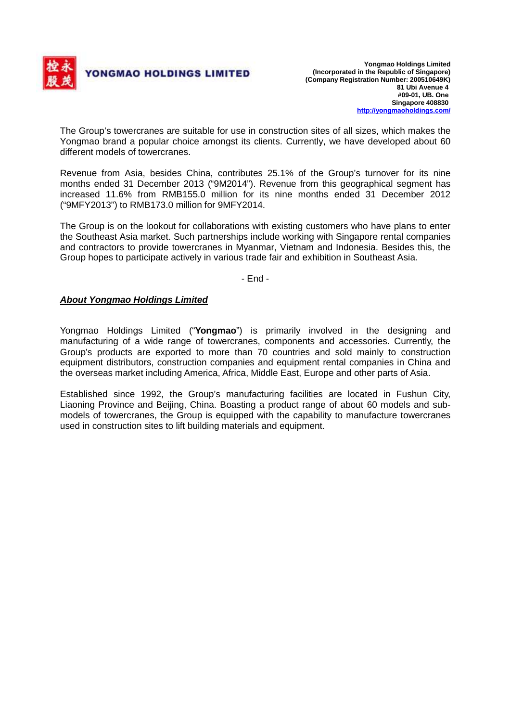

The Group's towercranes are suitable for use in construction sites of all sizes, which makes the Yongmao brand a popular choice amongst its clients. Currently, we have developed about 60 different models of towercranes.

Revenue from Asia, besides China, contributes 25.1% of the Group's turnover for its nine months ended 31 December 2013 ("9M2014"). Revenue from this geographical segment has increased 11.6% from RMB155.0 million for its nine months ended 31 December 2012 ("9MFY2013") to RMB173.0 million for 9MFY2014.

The Group is on the lookout for collaborations with existing customers who have plans to enter the Southeast Asia market. Such partnerships include working with Singapore rental companies and contractors to provide towercranes in Myanmar, Vietnam and Indonesia. Besides this, the Group hopes to participate actively in various trade fair and exhibition in Southeast Asia.

- End -

## **About Yongmao Holdings Limited**

Yongmao Holdings Limited ("**Yongmao**") is primarily involved in the designing and manufacturing of a wide range of towercranes, components and accessories. Currently, the Group's products are exported to more than 70 countries and sold mainly to construction equipment distributors, construction companies and equipment rental companies in China and the overseas market including America, Africa, Middle East, Europe and other parts of Asia.

Established since 1992, the Group's manufacturing facilities are located in Fushun City, Liaoning Province and Beijing, China. Boasting a product range of about 60 models and submodels of towercranes, the Group is equipped with the capability to manufacture towercranes used in construction sites to lift building materials and equipment.